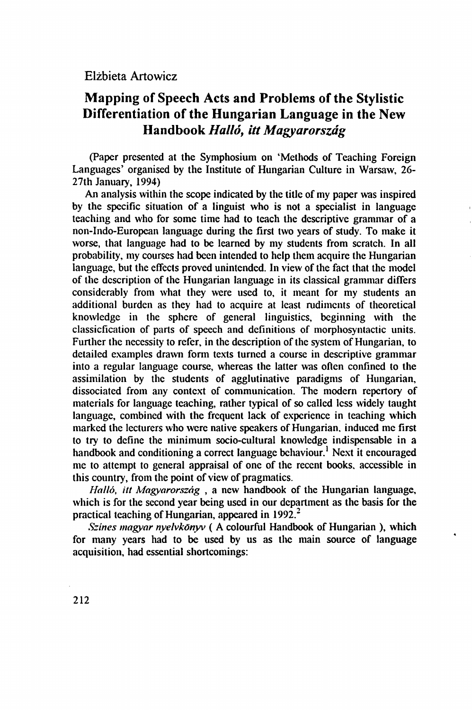## **Mapping of Speech Acts and Problems of the Stylistic Differentiation of the Hungarian Language in the New Handbook** *Halló, itt Magyarország*

(Paper presented at the Symphosium on 'Methods of Teaching Foreign Languages' organised by the Institute of Hungarian Culture in Warsaw, 26- 27th January, 1994)

An analysis within the scope indicated by the title of my paper was inspired by the specific situation of a linguist who is not a specialist in language teaching and who for some time had to teach the descriptive grammar of a non-Indo-European language during the first two years of study. To make it worse, that language had to be learned by my students from scratch. In all probability, my courses had been intended to help them acquire the Hungarian language, but the effects proved unintended. In view of the fact that the model of the description of the Hungarian language in its classical grammar differs considerably from what they were used to, it meant for my students an additional burden as they had to acquire at least rudiments of theoretical knowledge in the sphere of general linguistics, beginning with the classicfication of parts of speech and definitions of morphosyntactic units. Further the necessity to refer, in the description of the system of Hungarian, to detailed examples drawn form texts turned a course in descriptive grammar into a regular language course, whereas the latter was often confined to the assimilation by the students of agglutinative paradigms of Hungarian, dissociated from any context of communication. The modern repertory of materials for language teaching, rather typical of so called less widely taught language, combined with the frequent lack of experience in teaching which marked the lecturers who were native speakers of Hungarian, induced me first to try to define the minimum socio-cultural knowledge indispensable in a handbook and conditioning a correct language behaviour.<sup>1</sup> Next it encouraged me to attempt to general appraisal of one of the recent books, accessible in this country, from the point of view of pragmatics.

*Holló, itt Magyarország* , a new handbook of the Hungarian language, which is for the second year being used in our department as the basis for the practical teaching of Hungarian, appeared in  $1992<sup>2</sup>$ 

*Színes magyar nyelvkönyv (* A colourful Handbook of Hungarian ), which for many years had to be used by us as the main source of language acquisition, had essential shortcomings: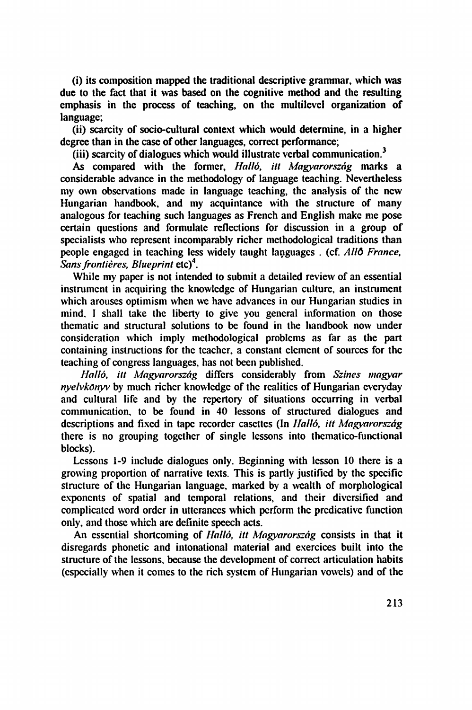(i) its composition mapped the traditional descriptive grammar, which was due to the fact that it was based on the cognitive method and the resulting emphasis in the process of teaching, on the multilevel organization of language;

(ii) scarcity of socio-cultural context which would determine, in a higher degree than in the case of other languages, correct performance;

(iii) scarcity of dialogues which would illustrate verbal communication.<sup>3</sup>

As compared with the former, *Halló, itt Magyarország* marks a considerable advance in the methodology of language teaching. Nevertheless my own observations made in language teaching, the analysis of the new Hungarian handbook, and my acquintance with the structure of many analogous for teaching such languages as French and English make me pose certain questions and formulate reflections for discussion in a group of specialists who represent incomparably richer methodological traditions than people engaged in teaching less widely taught languages . (cf. *Allô France, Sans frontières, Blueprint* etc)<sup>4</sup> .

While my paper is not intended to submit a detailed review of an essential instrument in acquiring the knowledge of Hungarian culture, an instrument which arouses optimism when we have advances in our Hungarian studies in mind. I shall take the liberty to give you general information on those thematic and structural solutions to be found in the handbook now under consideration which imply methodological problems as far as the part containing instructions for the teacher, a constant element of sources for the teaching of congress languages, has not been published.

*Halló, itt Magyarország* differs considerably from *Színes magyar nyelvkönyv* by much richer knowledge of the realities of Hungarian everyday and cultural life and by the repertory of situations occurring in verbal communication, to be found in 40 lessons of structured dialogues and descriptions and fixed in tape recorder casettes (In *Halló, itt Magyarország*  there is no grouping together of single lessons into thematico-functional blocks).

Lessons 1-9 include dialogues only. Beginning with lesson 10 there is a growing proportion of narrative texts. This is partly justified by the specific structure of the Hungarian language, marked by a wealth of morphological exponents of spatial and temporal relations, and their diversified and complicated word order in utterances which perform the predicative function only, and those which are definite speech acts.

An essential shortcoming of *Halló, itt Magyarország* consists in that it disregards phonetic and intonational material and exercices built into the structure of the lessons, because the development of correct articulation habits (especially when it comes to the rich system of Hungarian vowels) and of the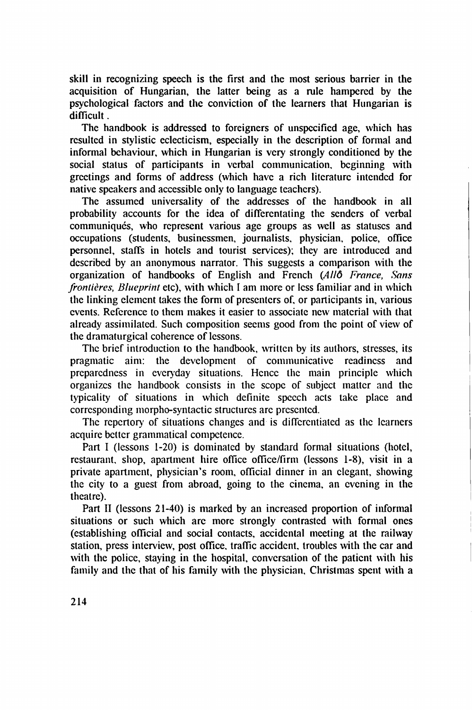skill in recognizing speech is the first and the most serious barrier in the acquisition of Hungarian, the latter being as a rule hampered by the psychological factors and the conviction of the learners that Hungarian is difficult.

The handbook is addressed to foreigners of unspecified age, which has resulted in stylistic eclecticism, especially in the description of formal and informal behaviour, which in Hungarian is very strongly conditioned by the social status of participants in verbal communication, beginning with greetings and forms of address (which have a rich literature intended for native speakers and accessible only to language teachers).

The assumed universality of the addresses of the handbook in all probability accounts for the idea of differentating the senders of verbal communiqués, who represent various age groups as well as statuses and occupations (students, businessmen, journalists, physician, police, office personnel, staffs in hotels and tourist services); they are introduced and described by an anonymous narrator. This suggests a comparison with the organization of handbooks of English and French *(Allô France, Sans frontières, Blueprint* etc), with which I am more or less familiar and in which the linking element takes the form of presenters of, or participants in, various events. Reference to them makes it easier to associate new material with that already assimilated. Such composition seems good from the point of view of the dramaturgical coherence of lessons.

The brief introduction to the handbook, written by its authors, stresses, its pragmatic aim: the development of communicative readiness and preparedness in everyday situations. Hence the main principle which organizes the handbook consists in the scope of subject matter and the typicality of situations in which definite speech acts take place and corresponding morpho-syntactic structures are presented.

The repertory of situations changes and is differentiated as the learners acquire better grammatical competence.

Part I (lessons 1-20) is dominated by standard formal situations (hotel, restaurant, shop, apartment hire office office/firm (lessons 1-8), visit in a private apartment, physician's room, official dinner in an elegant, showing the city to a guest from abroad, going to the cinema, an evening in the theatre).

Part II (lessons 21-40) is marked by an increased proportion of informal situations or such which are more strongly contrasted with formal ones (establishing official and social contacts, accidental meeting at the railway station, press interview, post office, traffic accident, troubles with the car and with the police, staying in the hospital, conversation of the patient with his family and the that of his family with the physician. Christmas spent with a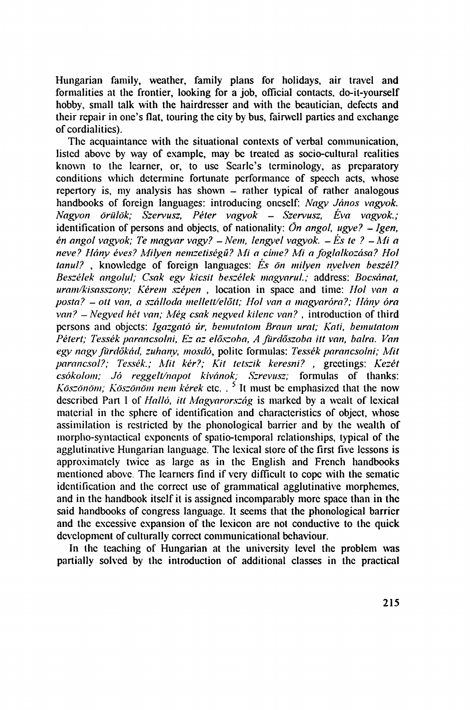Hungarian family, weather, family plans for holidays, air travel and formalities at the frontier, looking for a job, official contacts, do-it-yourself hobby, small talk with the hairdresser and with the beautician, defects and their repair in one's flat, touring the city by bus, fairwell parties and exchange of cordialities).

The acquaintance with the situational contexts of verbal communication, listed above by way of example, may be treated as socio-cultural realities known to the learner, or, to use Searlc's terminology, as preparatory conditions which determine fortunate performance of speech acts, whose repertory is, my analysis has shown – rather typical of rather analogous handbooks of foreign languages: introducing oneself: *Nagy János vagyok. Nagyon örülök; Szen'usz, Péter vagyok - Szervusz, Éva vagyok.;*  identification of persons and objects, of nationality: *Ön angol, ugye? - Igen, én angol vagyok; Te magyar vagy? - Nem, lengyel vagyok. - És te ? - Mi a neve? Hány éves? Milyen nemzetiségű? Mi a címe? Mi a foglalkozása? Hol tanul?* , knowledge of foreign languages: *És ön milyen nyelven beszél? Beszélek angolul; Csak egy kicsit beszélek magyarul.;* address: *Bocsánat, uram/kisasszonv; Kérem szépen ,* location in space and time: *Hol van a posta? - ott van, a szálloda mellett/előtt; Ho! van a magyaróra?; Hány óra van? - Negyed hét van; Még csak negyed kilenc van?* , introduction of third persons and objccts: *Igazgató úr, bemutatom Braun urat; Kati, bemutatom Pétert; Tessék parancsolni, Ez az előszoba, A fürdőszoba itt van, balra. Van egy nagy fürdőkád, zuhany, mosdó,* polite formulas: *Tessék parancsolni; Mit parancsol?; Tessék.; Mit kér?; Kit tetszik keresni? ,* greetings: *Kezét csókolom; Jó reggelt/napot kívánok; Szrevusz;* formulas of thanks: *Köszönöm; Köszönöm nem kérek* etc. . 5 It must be emphasized that the now described Part I of *Halló, itt Magyarország* is marked by a wcalt of lexical material in the sphere of identification and characteristics of object, whose assimilation is restricted by the phonological barrier and by the wealth of morpho-syntactical exponents of spatio-temporal relationships, typical of the agglutinative Hungarian language. The lexical store of the first five lessons is approximately twice as large as in the English and French handbooks mentioned above. The learners find if very difficult to cope with the sematic identification and the correct use of grammatical agglutinative morphemes, and in the handbook itself it is assigned incomparably more space than in the said handbooks of congress language. It seems that the phonological barrier and the excessive expansion of the lexicon are not conductive to the quick development of culturally correct communicational behaviour.

In the teaching of Hungarian at the university level the problem was partially solved by the introduction of additional classes in the practical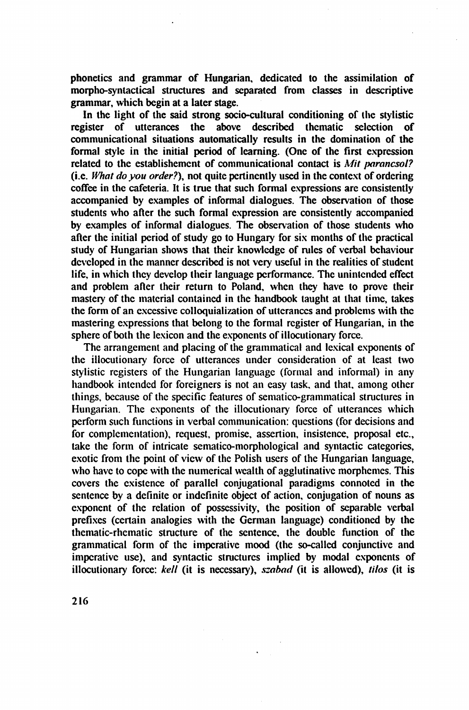phonetics and grammar of Hungarian, dedicated to the assimilation of morpho-syntactical structures and separated from classes in descriptive grammar, which begin at a later stage.

In the light of the said strong socio-cultural conditioning of the stylistic register of utterances the above described thematic selection of communicational situations automatically results in the domination of the formal style in the initial period of learning. (One of the first expression related to the establishement of communicational contact is *Mit parancsol?* (i.e. *What do you order?),* not quite pertinently used in the context of ordering coffee in the cafeteria. It is true that such formal expressions are consistently accompanied by examples of informal dialogues. The observation of those students who after the such formal expression are consistently accompanied by examples of informal dialogues. The observation of those students who after the initial period of study go to Hungary for six months of the practical study of Hungarian shows that their knowledge of rules of verbal behaviour developed in the manner described is not very useful in the realities of student life, in which they develop their language performance. The unintended effect and problem after their return to Poland, when they have to prove their mastery of the material contained in the handbook taught at that time, takes the form of an excessive colloquialization of utterances and problems with the mastering expressions that belong to the formal register of Hungarian, in the sphere of both the lexicon and the exponents of illocutionary force.

The arrangement and placing of the grammatical and lexical exponents of the illocutionary force of utterances under consideration of at least two stylistic registers of the Hungarian language (formal and informal) in any handbook intended for foreigners is not an easy task, and that, among other things, because of the specific features of sematico-grammatical structures in Hungarian. The exponents of the illocutionary force of utterances which perform such functions in verbal communication: questions (for decisions and for complementation), request, promise, assertion, insistence, proposal etc., take the form of intricate sematico-morphological and syntactic categories, exotic from the point of view of the Polish users of the Hungarian language, who have to cope with the numerical wealth of agglutinative morphemes. This covers the existence of parallel conjugational paradigms connoted in the sentence by a definite or indefinite object of action, conjugation of nouns as exponent of the relation of possessivity, the position of separable verbal prefixes (certain analogies with the German language) conditioned by the thematic-rhematic structure of the sentence, the double function of the grammatical form of the imperative mood (the so-called conjunctive and imperative use), and syntactic structures implied by modal exponents of illocutionary force: *kell* (it is necessary), *szabad* (it is allowed), *tilos* (it is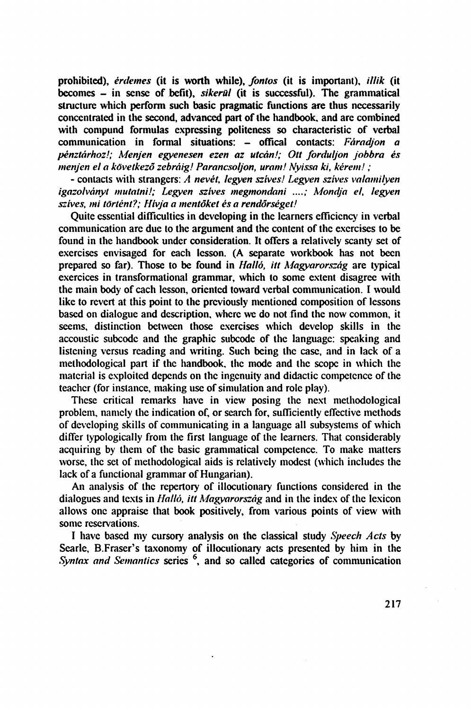prohibited), *érdemes* (it is worth while), *fontos* (it is important), *illik* (it becomes - in sense of befit), *sikerül* (it is successful). The grammatical structure which perform such basic pragmatic functions are thus necessarily concentrated in the second, advanced part of the handbook, and are combined with compund formulas expressing politeness so characteristic of verbal communication in formal situations: - offical contacts: *Fáradjon a pénztárhoz!; Menjen egyenesen ezen az utcán!; Ott forduljon jobbra és menjen el a következő zebráig! Parancsoljon, uram! Nyissa ki, kérem! ;* 

- contacts with strangers: *A nevét, legyen szíves! Legyen szíves valamilyen igazolványt mutatni!; Legyen szíves megmondani ....; Mondja el, legyen szíves, mi történt?; Hívja a mentőket és a rendőrséget!* 

Quite essential difficulties in developing in the learners **efficiency** in verbal communication are due to the argument and the content of the exercises to be found in the handbook under consideration. It offers a relatively scanty set of exercises envisaged for each lesson. (A separate workbook has not been prepared so far). Those to be found in *Halló, itt Magyarország* are typical exercices in transformational grammar, which to some extent disagree with the main body of cach lesson, oriented toward verbal communication. I would like to revert at this point to the previously mentioned composition of lessons based on dialogue and description, where we do not find the now common, it seems, distinction between those exercises which develop skills in the accoustic subcode and the graphic subcode of the language: speaking and listening versus reading and writing. Such being the case, and in lack of a methodological part if the handbook, the mode and the scope in which the material is exploited depends on the ingenuity and didactic competence of the teacher (for instance, making use of simulation and role play).

These critical remarks have in view posing the next methodological problem, namely the indication of, or search for, sufficiently effective methods of developing skills of communicating in a language all subsystems of which differ typologically from the first language of the learners. That considerably acquiring by them of the basic grammatical competence. To make matters worse, the set of methodological aids is relatively modest (which includes the lack of a functional grammar of Hungarian).

An analysis of the repertory of illocutionary functions considered in the dialogues and texts in *Halló, itt Magyarország* and in the index of the lexicon allows one appraise that book positively, from various points of view with some reservations.

I have based my cursory analysis on the classical study *Speech Acts* by Searle, B.Fraser's taxonomy of illocutionary acts presented by him in the *Syntax and Semantics* series 6 , and so called categories of communication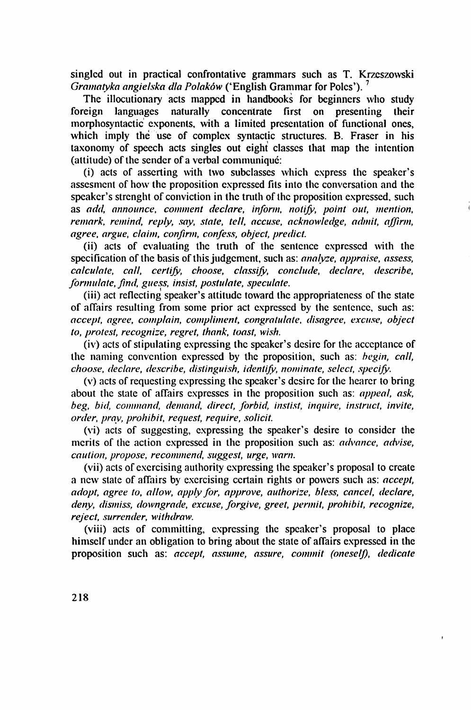singled out in practical confrontative grammars such as T. Krzcszowski *Gramatyka angielska dia Polaków* ('English Grammar for Poles'). 7

The illocutionary acts mapped in handbooks for beginners who study foreign languages naturally concentrate first on presenting their morphosyntactic exponents, with a limited presentation of functional ones, which imply the use of complex syntactic structures. B. Fraser in his taxonomy of speech acts singles out eight classes that map the intention (attitude) of the sender of a verbal communiqué:

(i) acts of asserting with two subclasses which express the speaker's assesment of how the proposition expressed fits into the conversation and the speaker's strenght of conviction in the truth of the proposition expressed, such as *add, announce, comment declare, inform, notify, point out, mention, remark, remind, reply, say, state, tell, accuse, acknowledge, admit, affirm, agree, argue, claim, confirm, confess, object, predict.* 

(ii) acts of evaluating the truth of the sentence expressed with the specification of the basis of this judgement, such as: *analyze, appraise, assess, calculate, call, certify, choose, classify, conclude, declare, describe, formulate, find, guess, insist, postulate, speculate.* 

(iii) act reflecting speaker's attitude toward the appropriateness of the state of affairs resulting from some prior act expressed by the sentence, such as: *accept, agree, complain, compliment, congratulate, disagree, excuse, object to, protest, recognize, regret, thank, toast, wish.* 

(iv) acts of stipulating expressing the speaker's desire for the acceptance of the naming convention expressed by the proposition, such as: *begin, call, choose, declare, describe, distinguish, identify, nominate, select, specify.* 

(v) acts of requesting expressing the speaker's desire for the hearer to bring about the state of affairs expresses in the proposition such as: *appeal, ask, beg, bid, command, demand, direct, forbid, instisi, inquire, instruct, invite, order, pray, prohibit, request, require, solicit.* 

(vi) acts of suggesting, expressing the speaker's desire to consider the merits of the action expressed in the proposition such as: *advance*, *advise*, *caution, propose, recommend, suggest, urge, warn.* 

(vii) acts of exercising authority expressing the speaker's proposal to create a new state of affairs by exercising certain rights or powers such as: *accept, adopt, agree to, allow, apply for, approve, authorize, bless, cancel, declare, deny, dismiss, downgrade, excuse, forgive, greet, permit, prohibit, recognize, reject, surrender, withdraw.* 

(viii) acts of committing, expressing the speaker's proposal to place himself under an obligation to bring about the state of affairs expressed in the proposition such as: *accept, assume, assure, commit (oneself, dedicate*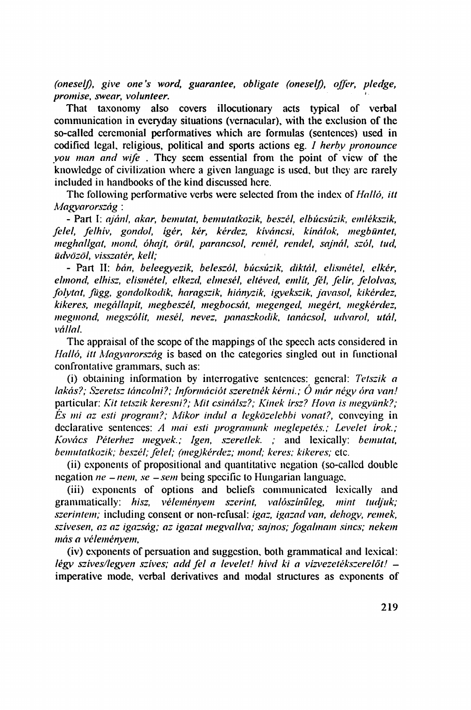*(oneself), give one's word, guarantee, obligate (oneseIß, offer, pledge, promise, swear, volunteer.* 

That taxonomy also covers illocutionary acts typical of verbal communication in everyday situations (vernacular), with the exclusion of the so-called ceremonial performatives which are formulas (sentences) used in codified legal, religious, political and sports actions eg. *I herby pronounce you man and wife .* They seem essential from the point of view of the knowledge of civilization where a given language is used, but they arc rarely included in handbooks of the kind discussed here.

The following performative verbs were selected from the index of *Halló, itt Magyarország :* 

- Part I: *ajánl, akar, bemutat, bemutatkozik, beszél, elbúcsúzik, emlékszik, felel, felhív, gondol, ígér, kér, kérdez, kíváncsi, kínálok, megbüntet, meghallgat, mond, óhajt, örül, parancsol, remél, rendel, sajnál, szól, tud, üdvözöl, visszatér, kell;* 

- Part II: *bán, beleegyezik, beleszól, búcsúzik, diktál, elismétel, elkér, elmond, elhisz, elismétel, elkezd, elmesél, eltéved, említ, fél, felír, felolvas, folytat, függ, gondolkodik, haragszik, hiányzik, igyekszik, javasol, kikérdez, kikeres, megállapít, megbeszél, megbocsát, megenged, megért, megkérdez, megmond, megszólít, mesél, nevez, panaszkodik, tanácsol, udvarol, utál, vállal.* 

The appraisal of the scope of the mappings of the speech acts considered in *Halló, itt Magvarország* is based on the categories singled out in functional confrontative grammars, such as:

(i) obtaining information by interrogative sentences: general: *Tetszik a lakás?; Szeretsz táncolni?; Információt szeretnék kérni.; O már négy óra van!*  particular: *Kit tetszik keresni?; Mit csinálsz?; Kinek írsz? Hova is megyünk?; És mi az esti program?; Mikor indul a legközelebbi vonat?,* conveying in declarative sentences: *A mai esti programunk meglepetés.; Levelet írok.; Kovács Péterhez megyek.; Igen, szeretlek. ;* and lexically: *bemutat, bemutatkozik; beszél; felel; (megjkérdez; mond; keres; kikeres;* etc.

(ii) exponents of propositional and quantitative negation (so-callcd double negation *ne - nem, se -sem* being specific to Hungarian language,

(iii) exponents of options and beliefs communicated lexically and grammatically: *hisz, véleményem szerint, valószínűleg, mint tudjuk; szerintem;* including consent or non-refusal: *igaz, igazad van, dehogy, remek, szívesen, az az igazság; az igazat meg\>allva; sajnos; fogalmam sincs; nekem más a véleményem,* 

(iv) exponents of persuation and suggestion, both grammatical and lexical: *légy szíves/legyen szíves; add fel a levelet! hívd ki a vízvezetékszerelőt!*  imperative mode, verbal derivatives and modal structures as exponents of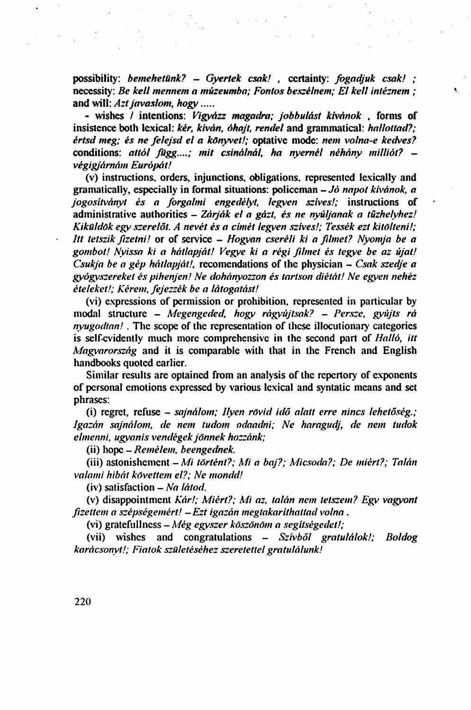possibility: *bemehetünk? - Gyertek csak! ,* certainty: *fogadjuk csak! ;*  necessity: *Be kell mennem a múzeumba; Fontos beszélnem; El kell intéznem ;*  and will: *Azt javaslom, hogy* 

- wishes / intentions: *Vigyázz magadra; jobbulást kívánok* , forms of insistence both lexical: *kér, kíván, óhajt, rendel* and grammatical: *hallottad?; értsd meg; és ne felejsd el a könyvet!;* optative mode: *nem volna-e kedves?*  conditions: *attól függ....; mit csinálnál, ha nyernél néhány milliót? végigjárnám Európát!* 

(v) instructions, orders, injunctions, obligations, represented lexically and gramatically, especially in formal situations: policeman - *Jó napot kívánok, a jogosítványt és a forgalmi engedélyt, legyen szíves!;* instructions of administrative authorities - *Zárják et a gázt, és ne nyúljanak a tűzhelyhez! Kiküldök egy szerelőt. A nevét és a címét legyen szíves!; Tessék ezt kitölteni!; Itt tetszik fizetni!* or of service - *Hogyan cseréli ki a filmet? Nyomja be a gombot! Nyissa ki a hátlapját! Vegye ki a régi filmet és tegye be az újat! Csukja be a gép hátlapját!,* recomendations of the physician - *Csak szedje a gyógyszereket és pihenjen! Ne dohányozzon és tartson diétát! Ne egyen nehéz ételeket!; Kérem, fejezzék be a látogatást!* 

(vi) expressions of permission or prohibition, represented in particular by modal structure - *Megengeded, hogy rágyújtsak? - Persze, gyújts rá nyugodtan!.* The scope of the representation of these illocutionary categories is self-evidently much more comprehensive in the second part of *Halló, itt Magyarország* and it is comparable with that in the French and English handbooks quoted earlier.

Similar results are optained from an analysis of the repertory of exponents of personal emotions expressed by various lexical and syntatic means and set phrases:

(i) regret, refuse - *sajnálom; Ilyen rövid idő alatt erre nincs lehetőség.; Igazán sajnálom, de nem tudom odaadni; Ne haragudj, de nem tudok elmenni, ugyanis vendégek jönnek hozzánk;* 

(ii) hope - *Remélem, beengednek.* 

(iii) astonishement - *Mi történt?; Mi a baj?; Micsoda?; De miért?; Talán valami hibát követtem el?; Ne mondd!* 

(iv) satisfaction - *Na látod.* 

(v) disappointment *Kár!; Miért?; Mi az, talán nem tetszem? Egy vagyont fizettem a szépségemért! -Ezt igazán megtakaríthattad volna .* 

(vi) gratefullncss *-Még egyszer köszönöm a segítségedet!;* 

(vii) wishes and congratulations - *Szívből gratulálok!; Boldog karácsonyt!; Fiatok születéséhez szeretettel gratulálunk!*